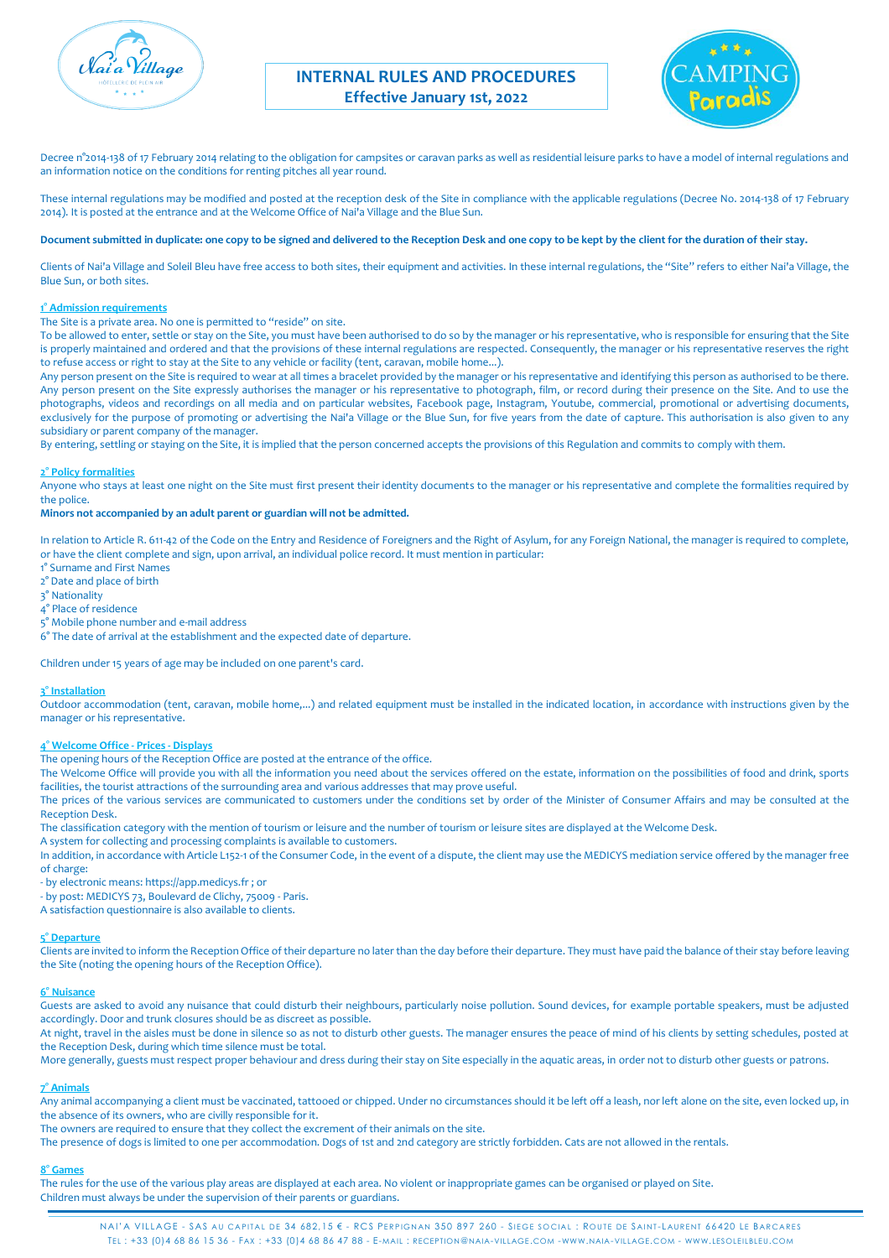



Decree n°2014-138 of 17 February 2014 relating to the obligation for campsites or caravan parks as well as residential leisure parks to have a model of internal regulations and an information notice on the conditions for renting pitches all year round.

These internal regulations may be modified and posted at the reception desk of the Site in compliance with the applicable regulations (Decree No. 2014-138 of 17 February 2014). It is posted at the entrance and at the Welcome Office of Nai'a Village and the Blue Sun.

### **Document submitted in duplicate: one copy to be signed and delivered to the Reception Desk and one copy to be kept by the client for the duration of their stay.**

Clients of Nai'a Village and Soleil Bleu have free access to both sites, their equipment and activities. In these internal regulations, the "Site" refers to either Nai'a Village, the Blue Sun, or both sites.

# **1° Admission requirements**

The Site is a private area. No one is permitted to "reside" on site.

To be allowed to enter, settle or stay on the Site, you must have been authorised to do so by the manager or his representative, who is responsible for ensuring that the Site is properly maintained and ordered and that the provisions of these internal regulations are respected. Consequently, the manager or his representative reserves the right to refuse access or right to stay at the Site to any vehicle or facility (tent, caravan, mobile home...).

Any person present on the Site is required to wear at all times a bracelet provided by the manager or his representative and identifying this person as authorised to be there. Any person present on the Site expressly authorises the manager or his representative to photograph, film, or record during their presence on the Site. And to use the photographs, videos and recordings on all media and on particular websites, Facebook page, Instagram, Youtube, commercial, promotional or advertising documents, exclusively for the purpose of promoting or advertising the Nai'a Village or the Blue Sun, for five years from the date of capture. This authorisation is also given to any subsidiary or parent company of the manager.

By entering, settling or staying on the Site, it is implied that the person concerned accepts the provisions of this Regulation and commits to comply with them.

#### **2° Policy formalities**

Anyone who stays at least one night on the Site must first present their identity documents to the manager or his representative and complete the formalities required by the police.

## **Minors not accompanied by an adult parent or guardian will not be admitted.**

In relation to Article R. 611-42 of the Code on the Entry and Residence of Foreigners and the Right of Asylum, for any Foreign National, the manager is required to complete, or have the client complete and sign, upon arrival, an individual police record. It must mention in particular:

- 1° Surname and First Names
- 2° Date and place of birth
- 3° Nationality
- 4° Place of residence
- 5° Mobile phone number and e-mail address
- 6° The date of arrival at the establishment and the expected date of departure.

Children under 15 years of age may be included on one parent's card.

### **3° Installation**

Outdoor accommodation (tent, caravan, mobile home,...) and related equipment must be installed in the indicated location, in accordance with instructions given by the manager or his representative.

### **4° Welcome Office - Prices - Displays**

The opening hours of the Reception Office are posted at the entrance of the office.

The Welcome Office will provide you with all the information you need about the services offered on the estate, information on the possibilities of food and drink, sports facilities, the tourist attractions of the surrounding area and various addresses that may prove useful.

The prices of the various services are communicated to customers under the conditions set by order of the Minister of Consumer Affairs and may be consulted at the Reception Desk.

The classification category with the mention of tourism or leisure and the number of tourism or leisure sites are displayed at the Welcome Desk.

A system for collecting and processing complaints is available to customers.

In addition, in accordance with Article L152-1 of the Consumer Code, in the event of a dispute, the client may use the MEDICYS mediation service offered by the manager free of charge:

- by electronic means: https://app.medicys.fr ; or

- by post: MEDICYS 73, Boulevard de Clichy, 75009 - Paris.

A satisfaction questionnaire is also available to clients.

### **5° Departure**

Clients are invited to inform the Reception Office of their departure no later than the day before their departure. They must have paid the balance of their stay before leaving the Site (noting the opening hours of the Reception Office).

#### **6° Nuisance**

Guests are asked to avoid any nuisance that could disturb their neighbours, particularly noise pollution. Sound devices, for example portable speakers, must be adjusted accordingly. Door and trunk closures should be as discreet as possible.

At night, travel in the aisles must be done in silence so as not to disturb other guests. The manager ensures the peace of mind of his clients by setting schedules, posted at the Reception Desk, during which time silence must be total.

More generally, guests must respect proper behaviour and dress during their stay on Site especially in the aquatic areas, in order not to disturb other guests or patrons.

## **7° Animals**

Any animal accompanying a client must be vaccinated, tattooed or chipped. Under no circumstances should it be left off a leash, nor left alone on the site, even locked up, in the absence of its owners, who are civilly responsible for it.

The owners are required to ensure that they collect the excrement of their animals on the site.

The presence of dogs is limited to one per accommodation. Dogs of 1st and 2nd category are strictly forbidden. Cats are not allowed in the rentals.

### **8° Games**

The rules for the use of the various play areas are displayed at each area. No violent or inappropriate games can be organised or played on Site. Children must always be under the supervision of their parents or guardians.